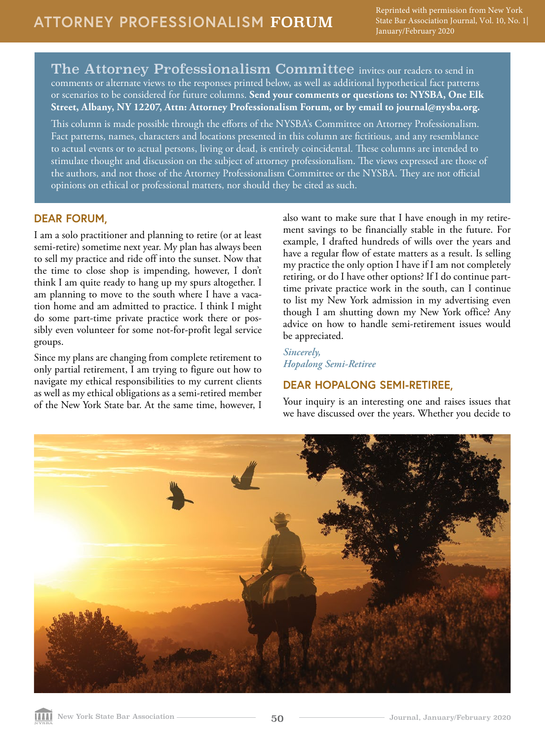The Attorney Professionalism Committee invites our readers to send in comments or alternate views to the responses printed below, as well as additional hypothetical fact patterns or scenarios to be considered for future columns. **Send your comments or questions to: NYSBA, One Elk Street, Albany, NY 12207, Attn: Attorney Professionalism Forum, or by email to journal@nysba.org.** 

This column is made possible through the efforts of the NYSBA's Committee on Attorney Professionalism. Fact patterns, names, characters and locations presented in this column are fictitious, and any resemblance to actual events or to actual persons, living or dead, is entirely coincidental. These columns are intended to stimulate thought and discussion on the subject of attorney professionalism. The views expressed are those of the authors, and not those of the Attorney Professionalism Committee or the NYSBA. They are not official opinions on ethical or professional matters, nor should they be cited as such.

## **DEAR FORUM,**

I am a solo practitioner and planning to retire (or at least semi-retire) sometime next year. My plan has always been to sell my practice and ride off into the sunset. Now that the time to close shop is impending, however, I don't think I am quite ready to hang up my spurs altogether. I am planning to move to the south where I have a vacation home and am admitted to practice. I think I might do some part-time private practice work there or possibly even volunteer for some not-for-profit legal service groups.

Since my plans are changing from complete retirement to only partial retirement, I am trying to figure out how to navigate my ethical responsibilities to my current clients as well as my ethical obligations as a semi-retired member of the New York State bar. At the same time, however, I

also want to make sure that I have enough in my retirement savings to be financially stable in the future. For example, I drafted hundreds of wills over the years and have a regular flow of estate matters as a result. Is selling my practice the only option I have if I am not completely retiring, or do I have other options? If I do continue parttime private practice work in the south, can I continue to list my New York admission in my advertising even though I am shutting down my New York office? Any advice on how to handle semi-retirement issues would be appreciated.

*Sincerely, Hopalong Semi-Retiree*

# **DEAR HOPALONG SEMI-RETIREE,**

Your inquiry is an interesting one and raises issues that we have discussed over the years. Whether you decide to

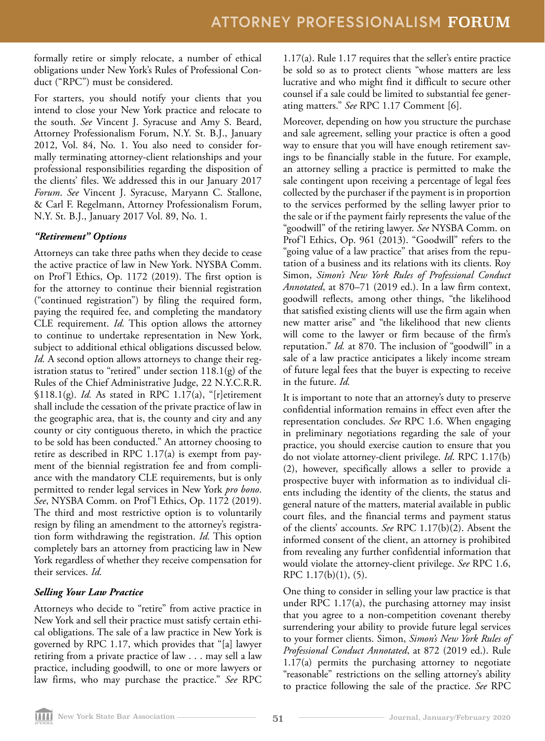formally retire or simply relocate, a number of ethical obligations under New York's Rules of Professional Conduct ("RPC") must be considered.

For starters, you should notify your clients that you intend to close your New York practice and relocate to the south. *See* Vincent J. Syracuse and Amy S. Beard, Attorney Professionalism Forum, N.Y. St. B.J., January 2012, Vol. 84, No. 1. You also need to consider formally terminating attorney-client relationships and your professional responsibilities regarding the disposition of the clients' files. We addressed this in our January 2017 *Forum*. *See* Vincent J. Syracuse, Maryann C. Stallone, & Carl F. Regelmann, Attorney Professionalism Forum, N.Y. St. B.J., January 2017 Vol. 89, No. 1.

#### *"Retirement" Options*

Attorneys can take three paths when they decide to cease the active practice of law in New York. NYSBA Comm. on Prof'l Ethics, Op. 1172 (2019). The first option is for the attorney to continue their biennial registration ("continued registration") by filing the required form, paying the required fee, and completing the mandatory CLE requirement. *Id.* This option allows the attorney to continue to undertake representation in New York, subject to additional ethical obligations discussed below. *Id.* A second option allows attorneys to change their registration status to "retired" under section  $118.1(g)$  of the Rules of the Chief Administrative Judge, 22 N.Y.C.R.R. §118.1(g). *Id.* As stated in RPC 1.17(a), "[r]etirement shall include the cessation of the private practice of law in the geographic area, that is, the county and city and any county or city contiguous thereto, in which the practice to be sold has been conducted." An attorney choosing to retire as described in RPC 1.17(a) is exempt from payment of the biennial registration fee and from compliance with the mandatory CLE requirements, but is only permitted to render legal services in New York *pro bono*. *See*, NYSBA Comm. on Prof'l Ethics, Op. 1172 (2019). The third and most restrictive option is to voluntarily resign by filing an amendment to the attorney's registration form withdrawing the registration. *Id.* This option completely bars an attorney from practicing law in New York regardless of whether they receive compensation for their services. *Id.* 

## *Selling Your Law Practice*

Attorneys who decide to "retire" from active practice in New York and sell their practice must satisfy certain ethical obligations. The sale of a law practice in New York is governed by RPC 1.17, which provides that "[a] lawyer retiring from a private practice of law . . . may sell a law practice, including goodwill, to one or more lawyers or law firms, who may purchase the practice." *See* RPC 1.17(a). Rule 1.17 requires that the seller's entire practice be sold so as to protect clients "whose matters are less lucrative and who might find it difficult to secure other counsel if a sale could be limited to substantial fee generating matters." *See* RPC 1.17 Comment [6].

Moreover, depending on how you structure the purchase and sale agreement, selling your practice is often a good way to ensure that you will have enough retirement savings to be financially stable in the future. For example, an attorney selling a practice is permitted to make the sale contingent upon receiving a percentage of legal fees collected by the purchaser if the payment is in proportion to the services performed by the selling lawyer prior to the sale or if the payment fairly represents the value of the "goodwill" of the retiring lawyer. *See* NYSBA Comm. on Prof'l Ethics, Op. 961 (2013). "Goodwill" refers to the "going value of a law practice" that arises from the reputation of a business and its relations with its clients. Roy Simon, *Simon's New York Rules of Professional Conduct Annotated*, at 870–71 (2019 ed.). In a law firm context, goodwill reflects, among other things, "the likelihood that satisfied existing clients will use the firm again when new matter arise" and "the likelihood that new clients will come to the lawyer or firm because of the firm's reputation." *Id.* at 870. The inclusion of "goodwill" in a sale of a law practice anticipates a likely income stream of future legal fees that the buyer is expecting to receive in the future. *Id.*

It is important to note that an attorney's duty to preserve confidential information remains in effect even after the representation concludes. *See* RPC 1.6. When engaging in preliminary negotiations regarding the sale of your practice, you should exercise caution to ensure that you do not violate attorney-client privilege. *Id*. RPC 1.17(b) (2), however, specifically allows a seller to provide a prospective buyer with information as to individual clients including the identity of the clients, the status and general nature of the matters, material available in public court files, and the financial terms and payment status of the clients' accounts. *See* RPC 1.17(b)(2). Absent the informed consent of the client, an attorney is prohibited from revealing any further confidential information that would violate the attorney-client privilege. *See* RPC 1.6, RPC 1.17(b)(1), (5).

One thing to consider in selling your law practice is that under RPC 1.17(a), the purchasing attorney may insist that you agree to a non-competition covenant thereby surrendering your ability to provide future legal services to your former clients. Simon, *Simon's New York Rules of Professional Conduct Annotated*, at 872 (2019 ed.). Rule 1.17(a) permits the purchasing attorney to negotiate "reasonable" restrictions on the selling attorney's ability to practice following the sale of the practice. *See* RPC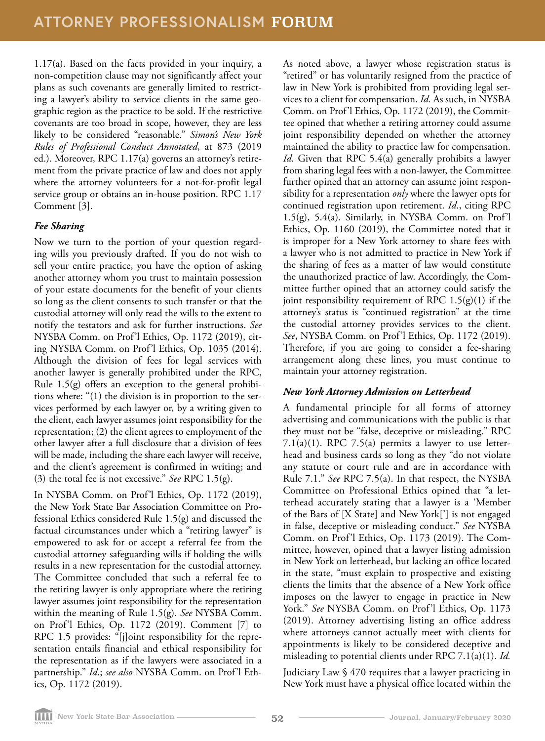1.17(a). Based on the facts provided in your inquiry, a non-competition clause may not significantly affect your plans as such covenants are generally limited to restricting a lawyer's ability to service clients in the same geographic region as the practice to be sold. If the restrictive covenants are too broad in scope, however, they are less likely to be considered "reasonable." *Simon's New York Rules of Professional Conduct Annotated*, at 873 (2019 ed.). Moreover, RPC 1.17(a) governs an attorney's retirement from the private practice of law and does not apply where the attorney volunteers for a not-for-profit legal service group or obtains an in-house position. RPC 1.17 Comment [3].

### *Fee Sharing*

Now we turn to the portion of your question regarding wills you previously drafted. If you do not wish to sell your entire practice, you have the option of asking another attorney whom you trust to maintain possession of your estate documents for the benefit of your clients so long as the client consents to such transfer or that the custodial attorney will only read the wills to the extent to notify the testators and ask for further instructions. *See* NYSBA Comm. on Prof'l Ethics, Op. 1172 (2019), citing NYSBA Comm. on Prof'l Ethics, Op. 1035 (2014). Although the division of fees for legal services with another lawyer is generally prohibited under the RPC, Rule 1.5(g) offers an exception to the general prohibitions where: "(1) the division is in proportion to the services performed by each lawyer or, by a writing given to the client, each lawyer assumes joint responsibility for the representation; (2) the client agrees to employment of the other lawyer after a full disclosure that a division of fees will be made, including the share each lawyer will receive, and the client's agreement is confirmed in writing; and (3) the total fee is not excessive." *See* RPC 1.5(g).

In NYSBA Comm. on Prof'l Ethics, Op. 1172 (2019), the New York State Bar Association Committee on Professional Ethics considered Rule 1.5(g) and discussed the factual circumstances under which a "retiring lawyer" is empowered to ask for or accept a referral fee from the custodial attorney safeguarding wills if holding the wills results in a new representation for the custodial attorney. The Committee concluded that such a referral fee to the retiring lawyer is only appropriate where the retiring lawyer assumes joint responsibility for the representation within the meaning of Rule 1.5(g). *See* NYSBA Comm. on Prof'l Ethics, Op. 1172 (2019). Comment [7] to RPC 1.5 provides: "[j]oint responsibility for the representation entails financial and ethical responsibility for the representation as if the lawyers were associated in a partnership." *Id*.; *see also* NYSBA Comm. on Prof'l Ethics, Op. 1172 (2019).

As noted above, a lawyer whose registration status is "retired" or has voluntarily resigned from the practice of law in New York is prohibited from providing legal services to a client for compensation. *Id.* As such, in NYSBA Comm. on Prof'l Ethics, Op. 1172 (2019), the Committee opined that whether a retiring attorney could assume joint responsibility depended on whether the attorney maintained the ability to practice law for compensation. *Id*. Given that RPC 5.4(a) generally prohibits a lawyer from sharing legal fees with a non-lawyer, the Committee further opined that an attorney can assume joint responsibility for a representation *only* where the lawyer opts for continued registration upon retirement. *Id*., citing RPC 1.5(g), 5.4(a). Similarly, in NYSBA Comm. on Prof'l Ethics, Op. 1160 (2019), the Committee noted that it is improper for a New York attorney to share fees with a lawyer who is not admitted to practice in New York if the sharing of fees as a matter of law would constitute the unauthorized practice of law. Accordingly, the Committee further opined that an attorney could satisfy the joint responsibility requirement of RPC  $1.5(g)(1)$  if the attorney's status is "continued registration" at the time the custodial attorney provides services to the client. *See*, NYSBA Comm. on Prof'l Ethics, Op. 1172 (2019). Therefore, if you are going to consider a fee-sharing arrangement along these lines, you must continue to maintain your attorney registration.

## *New York Attorney Admission on Letterhead*

A fundamental principle for all forms of attorney advertising and communications with the public is that they must not be "false, deceptive or misleading." RPC 7.1(a)(1). RPC 7.5(a) permits a lawyer to use letterhead and business cards so long as they "do not violate any statute or court rule and are in accordance with Rule 7.1." *See* RPC 7.5(a). In that respect, the NYSBA Committee on Professional Ethics opined that "a letterhead accurately stating that a lawyer is a 'Member of the Bars of [X State] and New York['] is not engaged in false, deceptive or misleading conduct." *See* NYSBA Comm. on Prof'l Ethics, Op. 1173 (2019). The Committee, however, opined that a lawyer listing admission in New York on letterhead, but lacking an office located in the state, "must explain to prospective and existing clients the limits that the absence of a New York office imposes on the lawyer to engage in practice in New York." *See* NYSBA Comm. on Prof'l Ethics, Op. 1173 (2019). Attorney advertising listing an office address where attorneys cannot actually meet with clients for appointments is likely to be considered deceptive and misleading to potential clients under RPC 7.1(a)(1). *Id.* 

Judiciary Law § 470 requires that a lawyer practicing in New York must have a physical office located within the